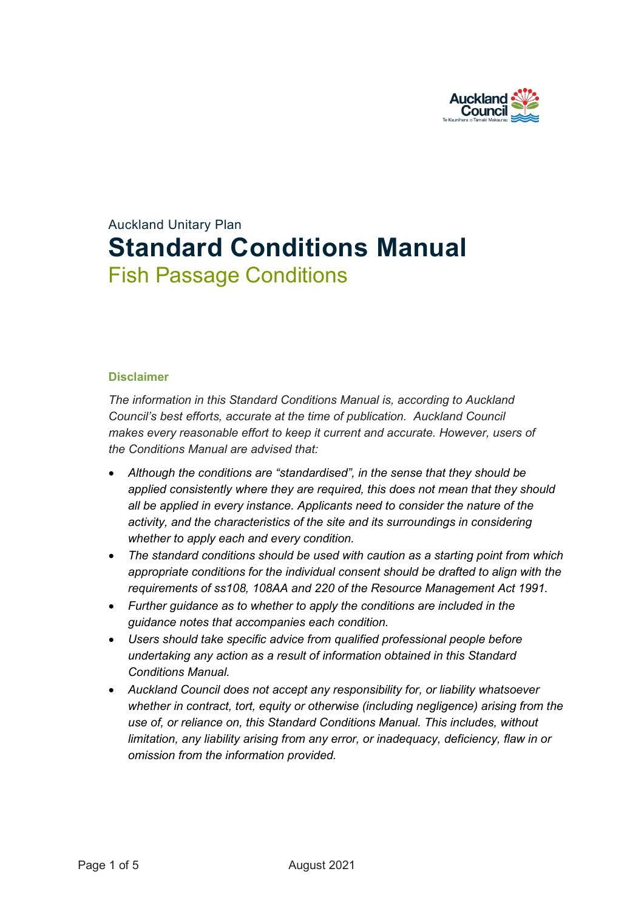

# Auckland Unitary Plan **Standard Conditions Manual** Fish Passage Conditions

#### **Disclaimer**

*The information in this Standard Conditions Manual is, according to Auckland Council's best efforts, accurate at the time of publication. Auckland Council makes every reasonable effort to keep it current and accurate. However, users of the Conditions Manual are advised that:* 

- *Although the conditions are "standardised", in the sense that they should be applied consistently where they are required, this does not mean that they should all be applied in every instance. Applicants need to consider the nature of the activity, and the characteristics of the site and its surroundings in considering whether to apply each and every condition.*
- *The standard conditions should be used with caution as a starting point from which appropriate conditions for the individual consent should be drafted to align with the requirements of ss108, 108AA and 220 of the Resource Management Act 1991.*
- *Further guidance as to whether to apply the conditions are included in the guidance notes that accompanies each condition.*
- *Users should take specific advice from qualified professional people before undertaking any action as a result of information obtained in this Standard Conditions Manual.*
- *Auckland Council does not accept any responsibility for, or liability whatsoever whether in contract, tort, equity or otherwise (including negligence) arising from the use of, or reliance on, this Standard Conditions Manual. This includes, without limitation, any liability arising from any error, or inadequacy, deficiency, flaw in or omission from the information provided.*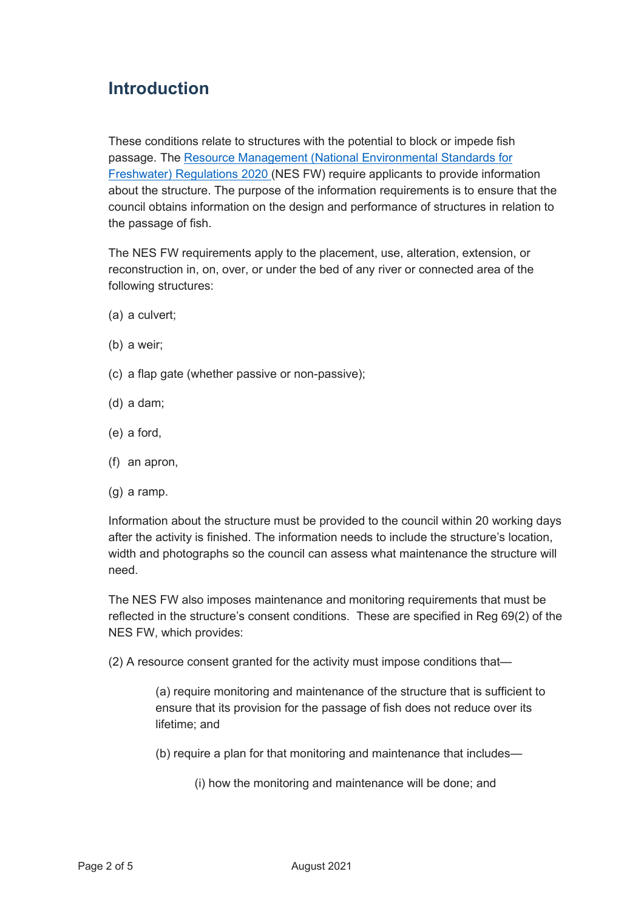## **Introduction**

These conditions relate to structures with the potential to block or impede fish passage. The [Resource Management \(National Environmental Standards for](http://www.legislation.govt.nz/regulation/public/2020/0174/latest/LMS364099.html)  [Freshwater\) Regulations 2020](http://www.legislation.govt.nz/regulation/public/2020/0174/latest/LMS364099.html) (NES FW) require applicants to provide information about the structure. The purpose of the information requirements is to ensure that the council obtains information on the design and performance of structures in relation to the passage of fish.

The NES FW requirements apply to the placement, use, alteration, extension, or reconstruction in, on, over, or under the bed of any river or connected area of the following structures:

- (a) a culvert;
- (b) a weir;
- (c) a flap gate (whether passive or non-passive);
- (d) a dam;
- (e) a ford,
- (f) an apron,
- (g) a ramp.

Information about the structure must be provided to the council within 20 working days after the activity is finished. The information needs to include the structure's location, width and photographs so the council can assess what maintenance the structure will need.

The NES FW also imposes maintenance and monitoring requirements that must be reflected in the structure's consent conditions. These are specified in Reg 69(2) of the NES FW, which provides:

(2) A resource consent granted for the activity must impose conditions that—

(a) require monitoring and maintenance of the structure that is sufficient to ensure that its provision for the passage of fish does not reduce over its lifetime; and

(b) require a plan for that monitoring and maintenance that includes—

(i) how the monitoring and maintenance will be done; and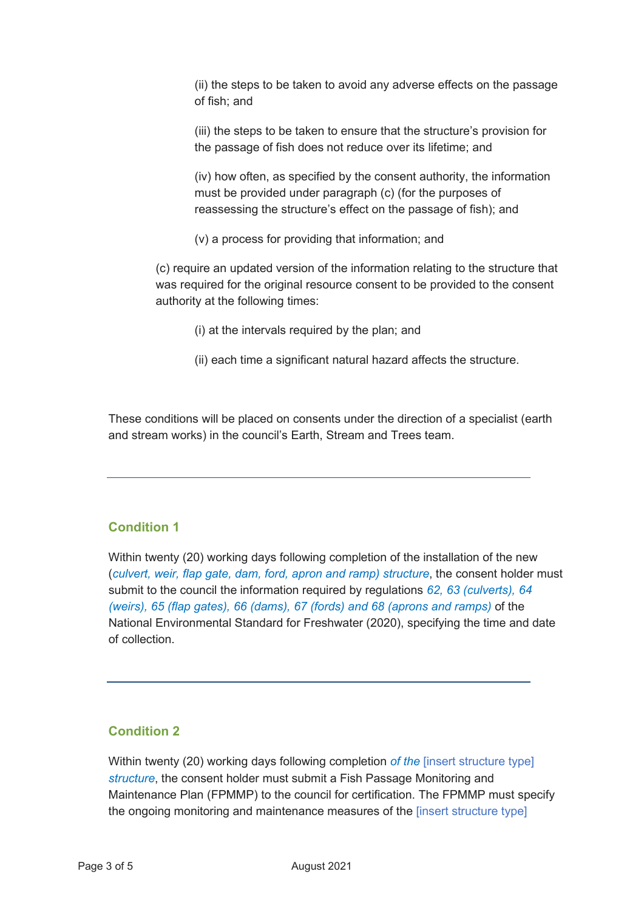(ii) the steps to be taken to avoid any adverse effects on the passage of fish; and

(iii) the steps to be taken to ensure that the structure's provision for the passage of fish does not reduce over its lifetime; and

(iv) how often, as specified by the consent authority, the information must be provided under paragraph (c) (for the purposes of reassessing the structure's effect on the passage of fish); and

(v) a process for providing that information; and

(c) require an updated version of the information relating to the structure that was required for the original resource consent to be provided to the consent authority at the following times:

- (i) at the intervals required by the plan; and
- (ii) each time a significant natural hazard affects the structure.

These conditions will be placed on consents under the direction of a specialist (earth and stream works) in the council's Earth, Stream and Trees team.

#### **Condition 1**

Within twenty (20) working days following completion of the installation of the new (*culvert, weir, flap gate, dam, ford, apron and ramp) structure*, the consent holder must submit to the council the information required by regulations *62, 63 (culverts), 64 (weirs), 65 (flap gates), 66 (dams), 67 (fords) and 68 (aprons and ramps)* of the National Environmental Standard for Freshwater (2020), specifying the time and date of collection.

### **Condition 2**

Within twenty (20) working days following completion *of the* [insert structure type] *structure*, the consent holder must submit a Fish Passage Monitoring and Maintenance Plan (FPMMP) to the council for certification. The FPMMP must specify the ongoing monitoring and maintenance measures of the [insert structure type]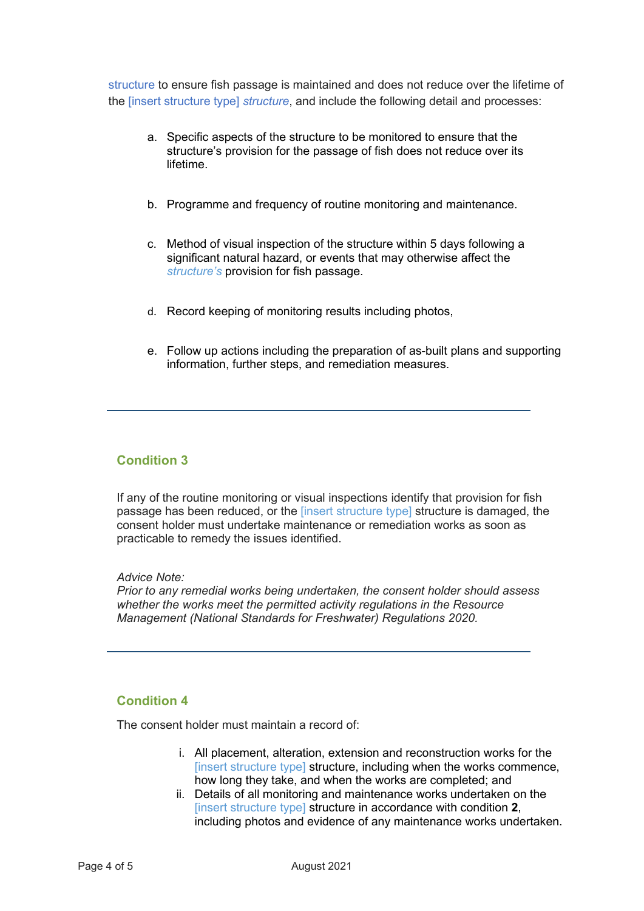structure to ensure fish passage is maintained and does not reduce over the lifetime of the [insert structure type] *structure*, and include the following detail and processes:

- a. Specific aspects of the structure to be monitored to ensure that the structure's provision for the passage of fish does not reduce over its lifetime.
- b. Programme and frequency of routine monitoring and maintenance.
- c. Method of visual inspection of the structure within 5 days following a significant natural hazard, or events that may otherwise affect the *structure's* provision for fish passage.
- d. Record keeping of monitoring results including photos,
- e. Follow up actions including the preparation of as-built plans and supporting information, further steps, and remediation measures.

#### **Condition 3**

If any of the routine monitoring or visual inspections identify that provision for fish passage has been reduced, or the [insert structure type] structure is damaged, the consent holder must undertake maintenance or remediation works as soon as practicable to remedy the issues identified.

*Advice Note:*

*Prior to any remedial works being undertaken, the consent holder should assess whether the works meet the permitted activity regulations in the Resource Management (National Standards for Freshwater) Regulations 2020.* 

#### **Condition 4**

The consent holder must maintain a record of:

- i. All placement, alteration, extension and reconstruction works for the [insert structure type] structure, including when the works commence, how long they take, and when the works are completed; and
- ii. Details of all monitoring and maintenance works undertaken on the [insert structure type] structure in accordance with condition **2**, including photos and evidence of any maintenance works undertaken.